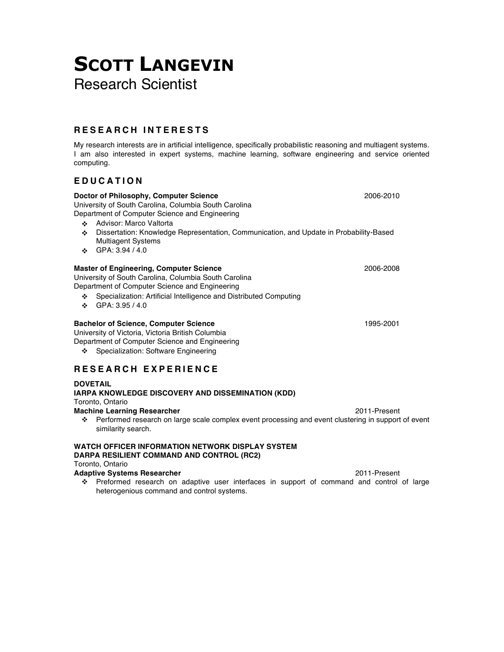# **SCOTT LANGEVIN** Research Scientist

# **RESEARCH INTERESTS**

My research interests are in artificial intelligence, specifically probabilistic reasoning and multiagent systems. I am also interested in expert systems, machine learning, software engineering and service oriented computing.

# **EDUCATION**

| Doctor of Philosophy, Computer Science<br>University of South Carolina, Columbia South Carolina<br>Department of Computer Science and Engineering                                                                                                                          | 2006-2010    |
|----------------------------------------------------------------------------------------------------------------------------------------------------------------------------------------------------------------------------------------------------------------------------|--------------|
| Advisor: Marco Valtorta<br>÷<br>Dissertation: Knowledge Representation, Communication, and Update in Probability-Based<br>÷<br><b>Multiagent Systems</b><br>GPA: 3.94 / 4.0<br>÷                                                                                           |              |
| <b>Master of Engineering, Computer Science</b><br>University of South Carolina, Columbia South Carolina<br>Department of Computer Science and Engineering<br>Specialization: Artificial Intelligence and Distributed Computing<br>❖<br>GPA: 3.95 / 4.0<br>$\ddot{\bullet}$ | 2006-2008    |
| <b>Bachelor of Science, Computer Science</b><br>University of Victoria, Victoria British Columbia<br>Department of Computer Science and Engineering<br>Specialization: Software Engineering<br>❖                                                                           | 1995-2001    |
| RESEARCH EXPERIENCE                                                                                                                                                                                                                                                        |              |
| <b>DOVETAIL</b><br>IARPA KNOWLEDGE DISCOVERY AND DISSEMINATION (KDD)<br>Toronto, Ontario<br><b>Machine Learning Researcher</b><br>Performed research on large scale complex event processing and event clustering in support of event<br>❖<br>similarity search.           | 2011-Present |
| <b>WATCH OFFICER INFORMATION NETWORK DISPLAY SYSTEM</b><br>DARPA RESILIENT COMMAND AND CONTROL (RC2)                                                                                                                                                                       |              |
| Toronto, Ontario<br><b>Adaptive Systems Researcher</b>                                                                                                                                                                                                                     | 2011-Present |

 Preformed research on adaptive user interfaces in support of command and control of large heterogenious command and control systems.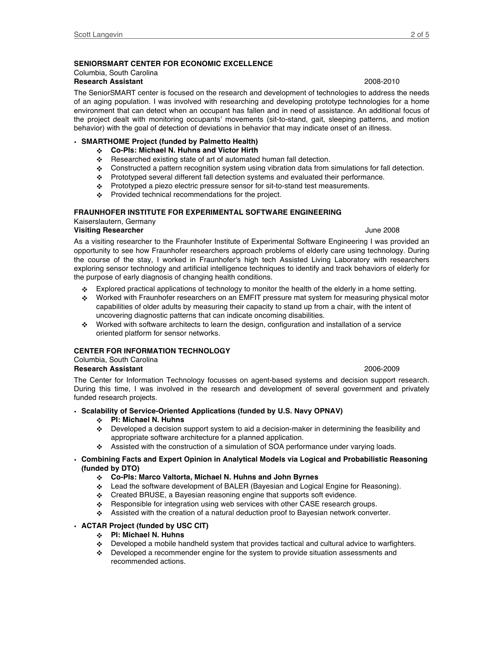### **SENIORSMART CENTER FOR ECONOMIC EXCELLENCE**

#### Columbia, South Carolina **Research Assistant** 2008-2010

The SeniorSMART center is focused on the research and development of technologies to address the needs of an aging population. I was involved with researching and developing prototype technologies for a home environment that can detect when an occupant has fallen and in need of assistance. An additional focus of the project dealt with monitoring occupants' movements (sit-to-stand, gait, sleeping patterns, and motion behavior) with the goal of detection of deviations in behavior that may indicate onset of an illness.

#### • **SMARTHOME Project (funded by Palmetto Health)**

- **Co-PIs: Michael N. Huhns and Victor Hirth**
- \* Researched existing state of art of automated human fall detection.
- Constructed a pattern recognition system using vibration data from simulations for fall detection.
- \* Prototyped several different fall detection systems and evaluated their performance.
- \* Prototyped a piezo electric pressure sensor for sit-to-stand test measurements.
- Provided technical recommendations for the project.

#### **FRAUNHOFER INSTITUTE FOR EXPERIMENTAL SOFTWARE ENGINEERING**

Kaiserslautern, Germany

#### **Visiting Researcher** June 2008

#### As a visiting researcher to the Fraunhofer Institute of Experimental Software Engineering I was provided an opportunity to see how Fraunhofer researchers approach problems of elderly care using technology. During the course of the stay, I worked in Fraunhofer's high tech Assisted Living Laboratory with researchers exploring sensor technology and artificial intelligence techniques to identify and track behaviors of elderly for the purpose of early diagnosis of changing health conditions.

- Explored practical applications of technology to monitor the health of the elderly in a home setting.
- Worked with Fraunhofer researchers on an EMFIT pressure mat system for measuring physical motor capabilities of older adults by measuring their capacity to stand up from a chair, with the intent of uncovering diagnostic patterns that can indicate oncoming disabilities.
- Worked with software architects to learn the design, configuration and installation of a service oriented platform for sensor networks.

### **CENTER FOR INFORMATION TECHNOLOGY**

# Columbia, South Carolina

## **Research Assistant** 2006-2009

The Center for Information Technology focusses on agent-based systems and decision support research. During this time, I was involved in the research and development of several government and privately funded research projects.

- **Scalability of Service-Oriented Applications (funded by U.S. Navy OPNAV)**
	- **PI: Michael N. Huhns**
	- Developed a decision support system to aid a decision-maker in determining the feasibility and appropriate software architecture for a planned application.
	- Assisted with the construction of a simulation of SOA performance under varying loads.

#### • **Combining Facts and Expert Opinion in Analytical Models via Logical and Probabilistic Reasoning (funded by DTO)**

- **Co-PIs: Marco Valtorta, Michael N. Huhns and John Byrnes**
- Lead the software development of BALER (Bayesian and Logical Engine for Reasoning).
- $\div$  Created BRUSE, a Bayesian reasoning engine that supports soft evidence.
- ❖ Responsible for integration using web services with other CASE research groups.
- Assisted with the creation of a natural deduction proof to Bayesian network converter.

#### • **ACTAR Project (funded by USC CIT)**

- **PI: Michael N. Huhns**
- $\clubsuit$  Developed a mobile handheld system that provides tactical and cultural advice to warfighters.
- Developed a recommender engine for the system to provide situation assessments and recommended actions.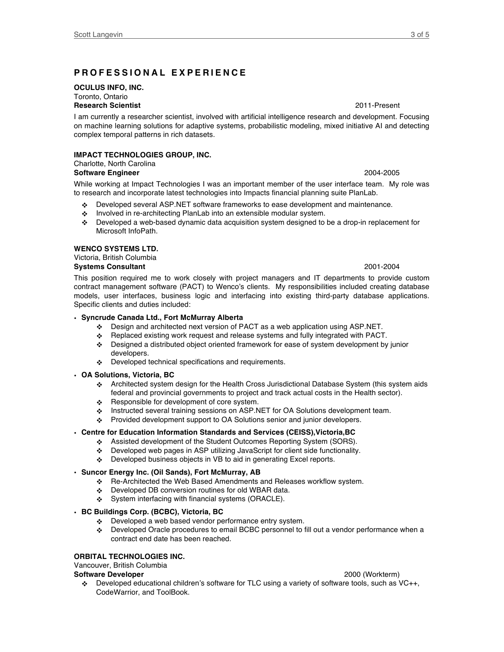# **PROFESSIONAL EXPERIE NCE**

#### **OCULUS INFO, INC.**

#### Toronto, Ontario **Research Scientist** 2011-Present

I am currently a researcher scientist, involved with artificial intelligence research and development. Focusing on machine learning solutions for adaptive systems, probabilistic modeling, mixed initiative AI and detecting complex temporal patterns in rich datasets.

# **IMPACT TECHNOLOGIES GROUP, INC.**

# Charlotte, North Carolina

**Software Engineer** 2004-2005 While working at Impact Technologies I was an important member of the user interface team. My role was to research and incorporate latest technologies into Impacts financial planning suite PlanLab.

- Developed several ASP.NET software frameworks to ease development and maintenance.
- \* Involved in re-architecting PlanLab into an extensible modular system.
- Developed a web-based dynamic data acquisition system designed to be a drop-in replacement for Microsoft InfoPath.

### **WENCO SYSTEMS LTD.**

#### Victoria, British Columbia **Systems Consultant** 2001-2004

This position required me to work closely with project managers and IT departments to provide custom contract management software (PACT) to Wenco's clients. My responsibilities included creating database models, user interfaces, business logic and interfacing into existing third-party database applications. Specific clients and duties included:

### • **Syncrude Canada Ltd., Fort McMurray Alberta**

- Design and architected next version of PACT as a web application using ASP.NET.
- Replaced existing work request and release systems and fully integrated with PACT.
- Designed a distributed object oriented framework for ease of system development by junior developers.
- ❖ Developed technical specifications and requirements.

#### • **OA Solutions, Victoria, BC**

- Architected system design for the Health Cross Jurisdictional Database System (this system aids federal and provincial governments to project and track actual costs in the Health sector).
- $\div$  Responsible for development of core system.
- Instructed several training sessions on ASP.NET for OA Solutions development team.
- Provided development support to OA Solutions senior and junior developers.

### • **Centre for Education Information Standards and Services (CEISS),Victoria,BC**

- Assisted development of the Student Outcomes Reporting System (SORS).
- Developed web pages in ASP utilizing JavaScript for client side functionality.
- Developed business objects in VB to aid in generating Excel reports.

#### • **Suncor Energy Inc. (Oil Sands), Fort McMurray, AB**

- Re-Architected the Web Based Amendments and Releases workflow system.
- Developed DB conversion routines for old WBAR data.
- System interfacing with financial systems (ORACLE).

#### • **BC Buildings Corp. (BCBC), Victoria, BC**

- Developed a web based vendor performance entry system.
- Developed Oracle procedures to email BCBC personnel to fill out a vendor performance when a contract end date has been reached.

### **ORBITAL TECHNOLOGIES INC.**

#### Vancouver, British Columbia

#### **Software Developer** 2000 (Workterm)

 Developed educational children's software for TLC using a variety of software tools, such as VC++, CodeWarrior, and ToolBook.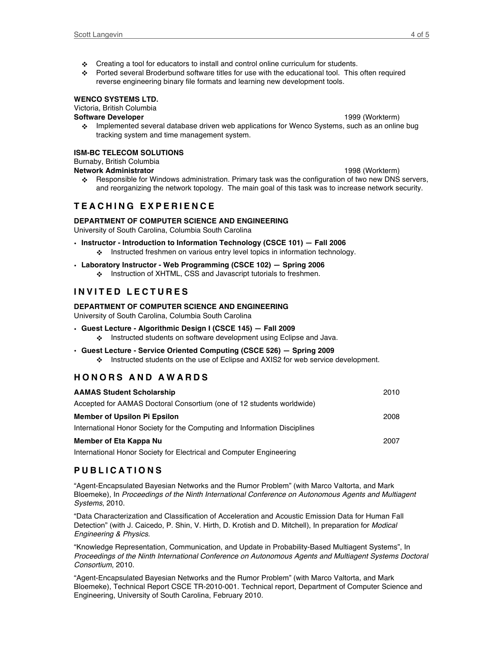- Creating a tool for educators to install and control online curriculum for students.
- Ported several Broderbund software titles for use with the educational tool. This often required reverse engineering binary file formats and learning new development tools.

#### **WENCO SYSTEMS LTD.**

Victoria, British Columbia

### **Software Developer** 1999 (Workterm)

 Implemented several database driven web applications for Wenco Systems, such as an online bug tracking system and time management system.

#### **ISM-BC TELECOM SOLUTIONS**

# Burnaby, British Columbia

- **Network Administrator** 1998 (Workterm)
	- Responsible for Windows administration. Primary task was the configuration of two new DNS servers, and reorganizing the network topology. The main goal of this task was to increase network security.

# **TEACHING EXPERIENCE**

### **DEPARTMENT OF COMPUTER SCIENCE AND ENGINEERING**

University of South Carolina, Columbia South Carolina

• **Instructor - Introduction to Information Technology (CSCE 101) — Fall 2006** Instructed freshmen on various entry level topics in information technology.

#### • **Laboratory Instructor - Web Programming (CSCE 102) — Spring 2006**

**Instruction of XHTML, CSS and Javascript tutorials to freshmen.** 

# **INVITED LECTURES**

### **DEPARTMENT OF COMPUTER SCIENCE AND ENGINEERING**

University of South Carolina, Columbia South Carolina

- **Guest Lecture - Algorithmic Design I (CSCE 145) — Fall 2009** ❖ Instructed students on software development using Eclipse and Java.
- **Guest Lecture - Service Oriented Computing (CSCE 526) — Spring 2009**

Instructed students on the use of Eclipse and AXIS2 for web service development.

# **HONORS AND AWARDS**

| <b>AAMAS Student Scholarship</b>                                          | 2010 |
|---------------------------------------------------------------------------|------|
| Accepted for AAMAS Doctoral Consortium (one of 12 students worldwide)     |      |
| <b>Member of Upsilon Pi Epsilon</b>                                       | 2008 |
| International Honor Society for the Computing and Information Disciplines |      |
| Member of Eta Kappa Nu                                                    | 2007 |
| International Honor Society for Electrical and Computer Engineering       |      |

# **PUBLICATIONS**

"Agent-Encapsulated Bayesian Networks and the Rumor Problem" (with Marco Valtorta, and Mark Bloemeke), In *Proceedings of the Ninth International Conference on Autonomous Agents and Multiagent Systems*, 2010.

"Data Characterization and Classification of Acceleration and Acoustic Emission Data for Human Fall Detection" (with J. Caicedo, P. Shin, V. Hirth, D. Krotish and D. Mitchell), In preparation for *Modical Engineering & Physics*.

"Knowledge Representation, Communication, and Update in Probability-Based Multiagent Systems", In *Proceedings of the Ninth International Conference on Autonomous Agents and Multiagent Systems Doctoral Consortium*, 2010.

"Agent-Encapsulated Bayesian Networks and the Rumor Problem" (with Marco Valtorta, and Mark Bloemeke), Technical Report CSCE TR-2010-001. Technical report, Department of Computer Science and Engineering, University of South Carolina, February 2010.